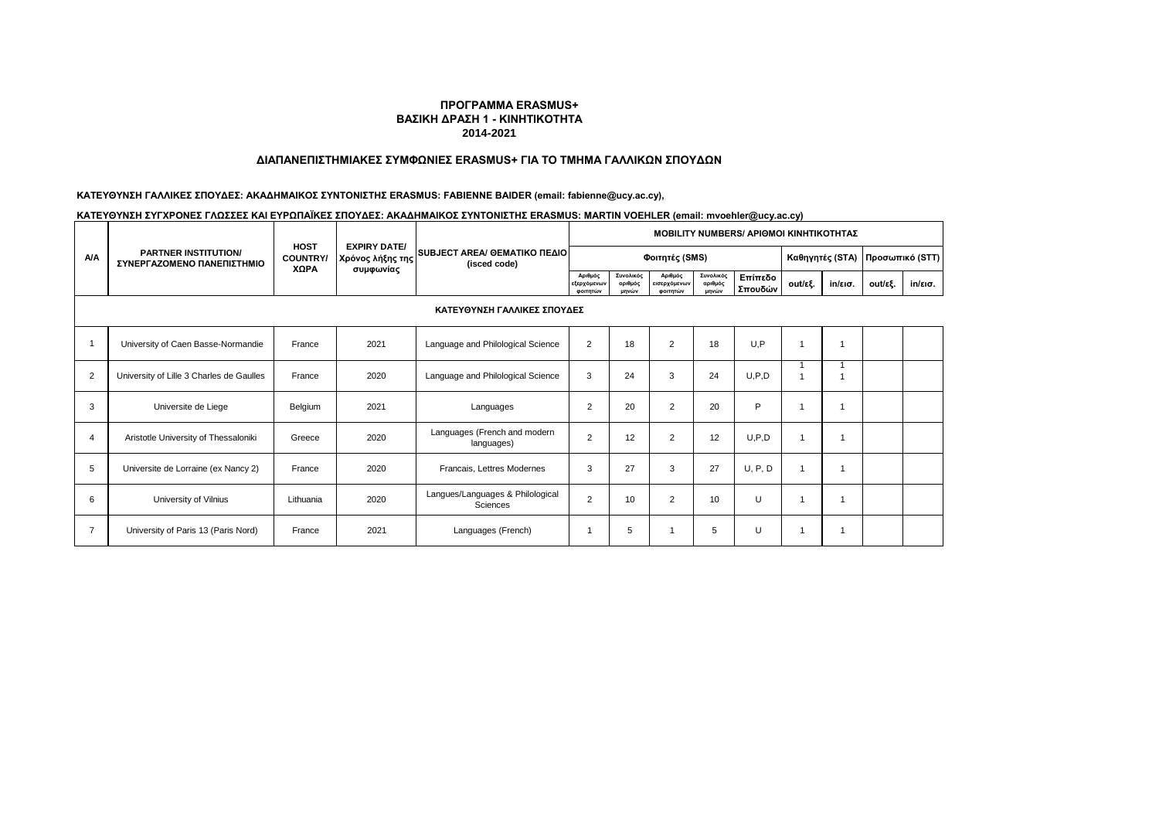### **ΔΙΑΠΑΝΕΠΙΣΤΗΜΙΑΚΕΣ ΣΥΜΦΩΝΙΕΣ ERASMUS+ ΓΙΑ ΤΟ ΤΜΗΜΑ ΓΑΛΛΙΚΩΝ ΣΠΟΥΔΩΝ**

# **ΚΑΤΕΥΘΥΝΣΗ ΓΑΛΛΙΚΕΣ ΣΠΟΥΔΕΣ: ΑΚΑΔΗΜΑΙΚΟΣ ΣΥΝΤΟΝΙΣΤΗΣ ERASMUS: FABIENNE BAIDER (email: fabienne@ucy.ac.cy),**

# **ΚΑΤΕΥΘΥΝΣΗ ΣΥΓΧΡΟΝΕΣ ΓΛΩΣΣΕΣ ΚΑΙ ΕΥΡΩΠΑΪΚΕΣ ΣΠΟΥΔΕΣ: ΑΚΑΔΗΜΑΙΚΟΣ ΣΥΝΤΟΝΙΣΤΗΣ ERASMUS: MARTIN VOEHLER (email: mvoehler@ucy.ac.cy)**

|                |                                                           |                                |                                         | <b>MOBILITY NUMBERS/ APIOMOI KINHTIKOTHTAZ</b> |                                    |                               |                                     |                               |                    |         |                   |                 |         |
|----------------|-----------------------------------------------------------|--------------------------------|-----------------------------------------|------------------------------------------------|------------------------------------|-------------------------------|-------------------------------------|-------------------------------|--------------------|---------|-------------------|-----------------|---------|
| <b>A/A</b>     | <b>PARTNER INSTITUTION/</b><br>ΣΥΝΕΡΓΑΖΟΜΕΝΟ ΠΑΝΕΠΙΣΤΗΜΙΟ | <b>HOST</b><br><b>COUNTRY/</b> | <b>EXPIRY DATE/</b><br>Χρόνος λήξης της | SUBJECT AREA/ OEMATIKO ΠΕΔΙΟ<br>(isced code)   |                                    |                               | Φοιτητές (SMS)                      |                               |                    |         | Καθηγητές (STA)   | Προσωπικό (STT) |         |
|                |                                                           | XΩPA                           | συμφωνίας                               |                                                | Αριθμός<br>εξερχόμενων<br>φοιτητών | Συνολικός<br>αριθμός<br>μηνών | Αριθμός<br>εισερχόμενων<br>φοιτητών | Συνολικός<br>αριθμός<br>μηνών | Επίπεδο<br>Σπουδών | out/εξ. | $in/\epsilon$ ισ. | out/εξ.         | in/εισ. |
|                | ΚΑΤΕΥΘΥΝΣΗ ΓΑΛΛΙΚΕΣ ΣΠΟΥΔΕΣ                               |                                |                                         |                                                |                                    |                               |                                     |                               |                    |         |                   |                 |         |
|                | University of Caen Basse-Normandie                        | France                         | 2021                                    | Language and Philological Science              | $\overline{2}$                     | 18                            | $\overline{2}$                      | 18                            | U, P               |         | $\overline{1}$    |                 |         |
| $\overline{2}$ | University of Lille 3 Charles de Gaulles                  | France                         | 2020                                    | Language and Philological Science              | 3                                  | 24                            | 3                                   | 24                            | U, P, D            |         |                   |                 |         |
| 3              | Universite de Liege                                       | Belgium                        | 2021                                    | Languages                                      | $\overline{2}$                     | 20                            | $\overline{2}$                      | 20                            | P                  |         |                   |                 |         |
| 4              | Aristotle University of Thessaloniki                      | Greece                         | 2020                                    | Languages (French and modern<br>languages)     | $\overline{2}$                     | 12                            | $\overline{2}$                      | 12                            | U, P, D            | 1       |                   |                 |         |
| 5              | Universite de Lorraine (ex Nancy 2)                       | France                         | 2020                                    | Francais, Lettres Modernes                     | 3                                  | 27                            | 3                                   | 27                            | U, P, D            | 1       |                   |                 |         |
| 6              | University of Vilnius                                     | Lithuania                      | 2020                                    | Langues/Languages & Philological<br>Sciences   | $\overline{2}$                     | 10                            | $\overline{2}$                      | 10                            | U                  | 1       |                   |                 |         |
|                | University of Paris 13 (Paris Nord)                       | France                         | 2021                                    | Languages (French)                             | 1                                  | 5                             |                                     | 5                             | U                  |         |                   |                 |         |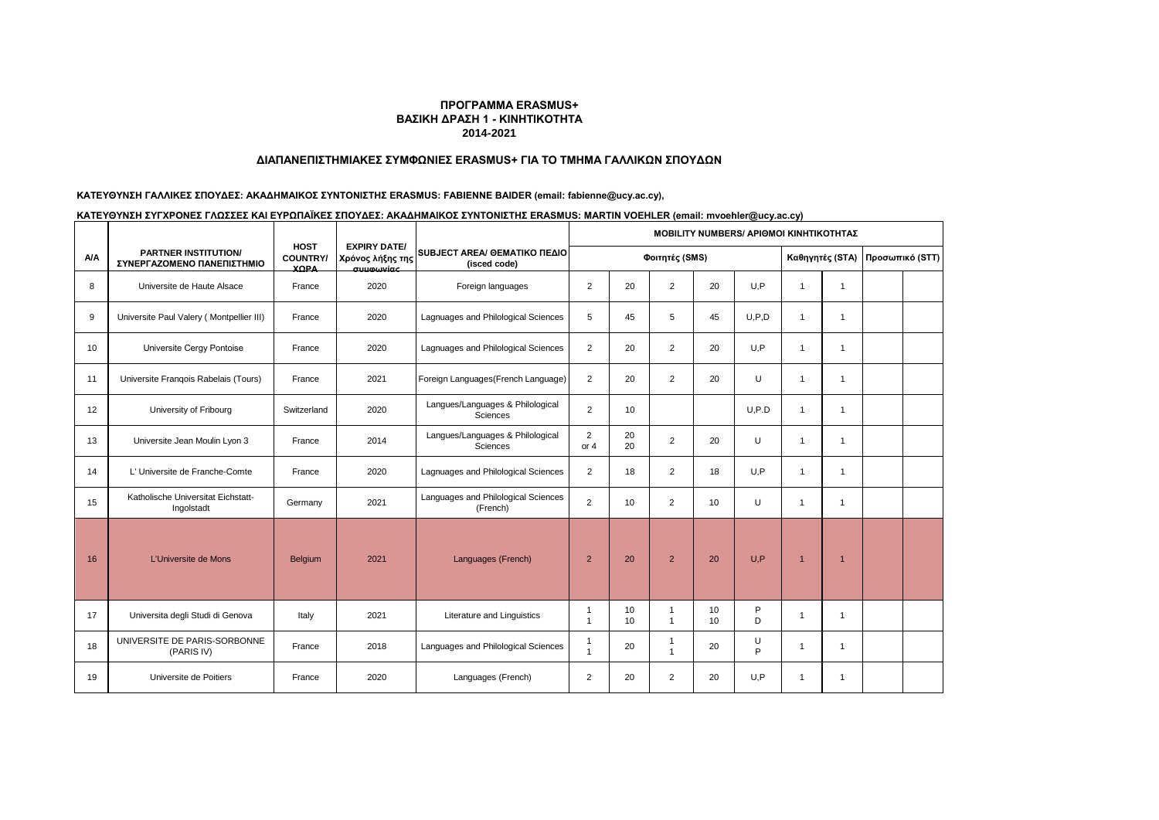### **ΔΙΑΠΑΝΕΠΙΣΤΗΜΙΑΚΕΣ ΣΥΜΦΩΝΙΕΣ ERASMUS+ ΓΙΑ ΤΟ ΤΜΗΜΑ ΓΑΛΛΙΚΩΝ ΣΠΟΥΔΩΝ**

# **ΚΑΤΕΥΘΥΝΣΗ ΓΑΛΛΙΚΕΣ ΣΠΟΥΔΕΣ: ΑΚΑΔΗΜΑΙΚΟΣ ΣΥΝΤΟΝΙΣΤΗΣ ERASMUS: FABIENNE BAIDER (email: fabienne@ucy.ac.cy),**

| ΚΑΤΕΥΘΥΝΣΗ ΣΥΓΧΡΟΝΕΣ ΓΛΩΣΣΕΣ ΚΑΙ ΕΥΡΩΠΑΪΚΕΣ ΣΠΟΥΔΕΣ: ΑΚΑΔΗΜΑΙΚΟΣ ΣΥΝΤΟΝΙΣΤΗΣ ERASMUS: MARTIN VOEHLER (email: mvoehler@ucy.ac.cy) |  |
|----------------------------------------------------------------------------------------------------------------------------------|--|
|                                                                                                                                  |  |

|     |                                                           |                                               |                                                              |                                                 | <b>MOBILITY NUMBERS/ APIOMOI KINHTIKOTHTAZ</b> |          |                              |                 |                 |                 |                |  |  |
|-----|-----------------------------------------------------------|-----------------------------------------------|--------------------------------------------------------------|-------------------------------------------------|------------------------------------------------|----------|------------------------------|-----------------|-----------------|-----------------|----------------|--|--|
| A/A | <b>PARTNER INSTITUTION/</b><br>ΣΥΝΕΡΓΑΖΟΜΕΝΟ ΠΑΝΕΠΙΣΤΗΜΙΟ | <b>HOST</b><br><b>COUNTRY/</b><br><b>YOPA</b> | <b>EXPIRY DATE/</b><br>Χρόνος λήξης της<br>$\sigma$ uumuwinc | SUBJECT AREA/ GEMATIKO ΠΕΔΙΟ<br>(isced code)    | Φοιτητές (SMS)                                 |          |                              |                 | Καθηγητές (STA) | Προσωπικό (STT) |                |  |  |
| 8   | Universite de Haute Alsace                                | France                                        | 2020                                                         | Foreign languages                               | 2                                              | 20       | 2                            | 20              | U.P             | 1               | 1              |  |  |
| 9   | Universite Paul Valery (Montpellier III)                  | France                                        | 2020                                                         | Lagnuages and Philological Sciences             | 5                                              | 45       | 5                            | 45              | U.P.D           | 1               | 1              |  |  |
| 10  | Universite Cergy Pontoise                                 | France                                        | 2020                                                         | Lagnuages and Philological Sciences             | $\overline{2}$                                 | 20       | $\overline{2}$               | 20              | U.P             | 1               | 1              |  |  |
| 11  | Universite Frangois Rabelais (Tours)                      | France                                        | 2021                                                         | Foreign Languages (French Language)             | $\overline{2}$                                 | 20       | $\overline{2}$               | 20              | $\cup$          | 1               | 1              |  |  |
| 12  | University of Fribourg                                    | Switzerland                                   | 2020                                                         | Langues/Languages & Philological<br>Sciences    | $\overline{2}$                                 | 10       |                              |                 | U, P.D          | 1               | 1              |  |  |
| 13  | Universite Jean Moulin Lyon 3                             | France                                        | 2014                                                         | Langues/Languages & Philological<br>Sciences    | $\overline{2}$<br>or $4$                       | 20<br>20 | $\overline{2}$               | 20              | U               | 1               | 1              |  |  |
| 14  | L' Universite de Franche-Comte                            | France                                        | 2020                                                         | Lagnuages and Philological Sciences             | $\overline{2}$                                 | 18       | $\overline{2}$               | 18              | U,P             | $\overline{1}$  | $\mathbf{1}$   |  |  |
| 15  | Katholische Universitat Eichstatt-<br>Ingolstadt          | Germany                                       | 2021                                                         | Languages and Philological Sciences<br>(French) | 2                                              | 10       | $\overline{2}$               | 10 <sup>1</sup> | U               | $\overline{1}$  | $\overline{1}$ |  |  |
| 16  | L'Universite de Mons                                      | <b>Belgium</b>                                | 2021                                                         | Languages (French)                              | $\overline{2}$                                 | 20       | $\overline{2}$               | 20              | U.P             | $\overline{1}$  | 1              |  |  |
| 17  | Universita degli Studi di Genova                          | Italy                                         | 2021                                                         | Literature and Linguistics                      | $\mathbf{1}$<br>$\overline{1}$                 | 10<br>10 | 1<br>$\mathbf{1}$            | 10<br>10        | P<br>D          | 1               | $\mathbf{1}$   |  |  |
| 18  | UNIVERSITE DE PARIS-SORBONNE<br>(PARIS IV)                | France                                        | 2018                                                         | Languages and Philological Sciences             | $\mathbf{1}$<br>$\overline{1}$                 | 20       | $\mathbf{1}$<br>$\mathbf{1}$ | 20              | U<br>P          | 1               | $\overline{1}$ |  |  |
| 19  | Universite de Poitiers                                    | France                                        | 2020                                                         | Languages (French)                              | $\overline{2}$                                 | 20       | $\overline{2}$               | 20              | U.P             | 1               | 1              |  |  |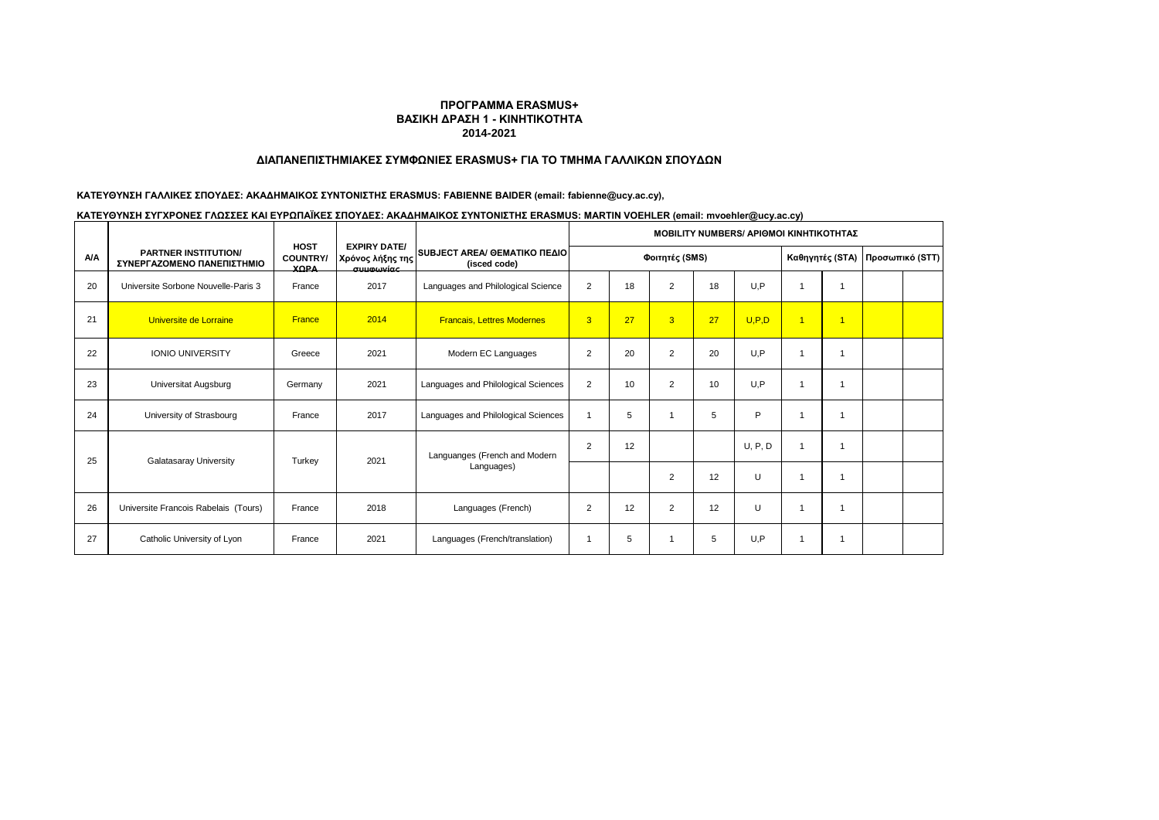### **ΔΙΑΠΑΝΕΠΙΣΤΗΜΙΑΚΕΣ ΣΥΜΦΩΝΙΕΣ ERASMUS+ ΓΙΑ ΤΟ ΤΜΗΜΑ ΓΑΛΛΙΚΩΝ ΣΠΟΥΔΩΝ**

# **ΚΑΤΕΥΘΥΝΣΗ ΓΑΛΛΙΚΕΣ ΣΠΟΥΔΕΣ: ΑΚΑΔΗΜΑΙΚΟΣ ΣΥΝΤΟΝΙΣΤΗΣ ERASMUS: FABIENNE BAIDER (email: fabienne@ucy.ac.cy),**

| ΚΑΤΕΥΘΥΝΣΗ ΣΥΓΧΡΟΝΕΣ ΓΛΩΣΣΕΣ ΚΑΙ ΕΥΡΩΠΑΪΚΕΣ ΣΠΟΥΔΕΣ: ΑΚΑΔΗΜΑΙΚΟΣ ΣΥΝΤΟΝΙΣΤΗΣ ERASMUS: MARTIN VOEHLER (email: mvoehler@ucy.ac.cy) |  |
|----------------------------------------------------------------------------------------------------------------------------------|--|
|                                                                                                                                  |  |

|            |                                                           |                                                        |                                                            |                                                      | MOBILITY NUMBERS/ ΑΡΙΘΜΟΙ ΚΙΝΗΤΙΚΟΤΗΤΑΣ |                |                |    |         |                         |                 |  |  |
|------------|-----------------------------------------------------------|--------------------------------------------------------|------------------------------------------------------------|------------------------------------------------------|-----------------------------------------|----------------|----------------|----|---------|-------------------------|-----------------|--|--|
| <b>A/A</b> | <b>PARTNER INSTITUTION/</b><br>ΣΥΝΕΡΓΑΖΟΜΕΝΟ ΠΑΝΕΠΙΣΤΗΜΙΟ | <b>HOST</b><br><b>COUNTRY/</b><br><b>YOPA</b>          | <b>EXPIRY DATE/</b><br>Χρόνος λήξης της<br><u>auumwine</u> | <b>SUBJECT AREA/ ΘΕΜΑΤΙΚΟ ΠΕΔΙΟΙ</b><br>(isced code) | Φοιτητές (SMS)                          |                |                |    |         | Καθηγητές (STA)         | Προσωπικό (STT) |  |  |
| 20         | Universite Sorbone Nouvelle-Paris 3                       | France                                                 | 2017                                                       | Languages and Philological Science                   | $\overline{2}$                          | 18             | $\overline{2}$ | 18 | U.P     | $\mathbf 1$             |                 |  |  |
| 21         | Universite de Lorraine                                    | France                                                 | 2014                                                       | <b>Francais, Lettres Modernes</b>                    | 3                                       | 27             | $\overline{3}$ | 27 | U, P, D | $\overline{\mathbf{1}}$ | $\overline{1}$  |  |  |
| 22         | <b>IONIO UNIVERSITY</b>                                   | Greece                                                 | 2021                                                       | Modern EC Languages                                  | $\overline{2}$                          | 20             | 2              | 20 | U.P     | $\overline{1}$          |                 |  |  |
| 23         | Universitat Augsburg                                      | Germany                                                | 2021                                                       | Languages and Philological Sciences                  | $\overline{2}$                          | 10             | $\overline{2}$ | 10 | U.P     | $\overline{1}$          |                 |  |  |
| 24         | University of Strasbourg                                  | France                                                 | 2017                                                       | Languages and Philological Sciences                  | $\overline{\phantom{a}}$                | 5              | 1              | 5  | P       | -1                      |                 |  |  |
| 25         |                                                           |                                                        |                                                            | Languanges (French and Modern                        | $\overline{2}$                          | 12             |                |    | U, P, D | $\overline{1}$          |                 |  |  |
|            |                                                           | Galatasaray University<br>2021<br>Turkey<br>Languages) |                                                            |                                                      |                                         | $\overline{2}$ | 12             | U  |         |                         |                 |  |  |
| 26         | Universite Francois Rabelais (Tours)                      | France                                                 | 2018                                                       | Languages (French)                                   | 2                                       | 12             | $\overline{2}$ | 12 | U       | $\overline{1}$          |                 |  |  |
| 27         | Catholic University of Lyon                               | France                                                 | 2021                                                       | Languages (French/translation)                       |                                         | 5              | 1              | 5  | U.P     | $\overline{1}$          |                 |  |  |